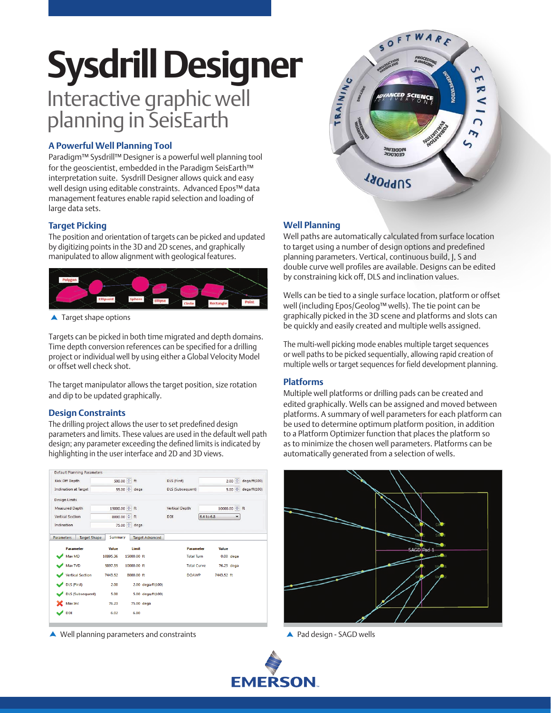# Interactive graphic well planning in SeisEarth **Sysdrill Designer**

# **A Powerful Well Planning Tool**

Paradigm™ Sysdrill™ Designer is a powerful well planning tool for the geoscientist, embedded in the Paradigm SeisEarth™ interpretation suite. Sysdrill Designer allows quick and easy well design using editable constraints. Advanced Epos™ data management features enable rapid selection and loading of large data sets.

# **Target Picking**

The position and orientation of targets can be picked and updated by digitizing points in the 3D and 2D scenes, and graphically manipulated to allow alignment with geological features.



▲ Target shape options

Targets can be picked in both time migrated and depth domains. Time depth conversion references can be specified for a drilling project or individual well by using either a Global Velocity Model or offset well check shot.

The target manipulator allows the target position, size rotation and dip to be updated graphically.

### **Design Constraints**

The drilling project allows the user to set predefined design parameters and limits. These values are used in the default well path design; any parameter exceeding the defined limits is indicated by highlighting in the user interface and 2D and 3D views.

| <b>Default Planning Parameters</b>       |                         |                        |                    |                 |              |
|------------------------------------------|-------------------------|------------------------|--------------------|-----------------|--------------|
| Kick Off Depth                           | 500.00 ÷ ft             |                        | DLS (First)        | $2.00$ $\div$   | deqa/ft(100) |
| <b>Inclination at Target</b>             | 55.00 ÷ dega            |                        | DLS (Subsequent)   | $5.00 \div$     | deqa/ft(100) |
| <b>Design Limits</b>                     |                         |                        |                    |                 |              |
| <b>Measured Depth</b>                    | 15000.00 ÷ ft           |                        | Vertical Depth     | 10000.00 ÷ ft   |              |
| <b>Vertical Section</b>                  | 8000.00 ÷ ft            |                        | <b>DDI</b>         | 6.4 to 6.8<br>۳ |              |
| Inclination                              | 75.00 <sup>+</sup> dega |                        |                    |                 |              |
| <b>Parameters</b><br><b>Target Shape</b> | <b>Summary</b>          | <b>Target Advanced</b> |                    |                 |              |
| <b>Parameter</b>                         | Value                   | Limit                  | <b>Parameter</b>   | Value           |              |
| Max MD                                   | 10895.36                | 15000.00 ft            | <b>Total Turn</b>  | $0.00$ dega     |              |
| Max TVD                                  | 5897.35                 | 10000.00 ft            | <b>Total Curve</b> | 76.23 dega      |              |
| <b>Vertical Section</b>                  | 7443.52                 | 8000.00 ft             | <b>DOAWP</b>       | 7443.52 ft      |              |
| <b>DLS</b> (First)                       | 2.00                    | 2.00 dega/ft(100)      |                    |                 |              |
| <b>DLS</b> (Subsequent)                  | 5.00                    | 5.00 dega/ft(100)      |                    |                 |              |
| Max Inc                                  | 76.23                   | 75.00 dega             |                    |                 |              |
| <b>DDI</b>                               | 6.02                    | 6.80                   |                    |                 |              |
|                                          |                         |                        |                    |                 |              |

Well planning parameters and constraints



# **Well Planning**

Well paths are automatically calculated from surface location to target using a number of design options and predefined planning parameters. Vertical, continuous build, J, S and double curve well profiles are available. Designs can be edited by constraining kick off, DLS and inclination values.

Wells can be tied to a single surface location, platform or offset well (including Epos/Geolog™ wells). The tie point can be graphically picked in the 3D scene and platforms and slots can be quickly and easily created and multiple wells assigned.

The multi-well picking mode enables multiple target sequences or well paths to be picked sequentially, allowing rapid creation of multiple wells or target sequences for field development planning.

#### **Platforms**

Multiple well platforms or drilling pads can be created and edited graphically. Wells can be assigned and moved between platforms. A summary of well parameters for each platform can be used to determine optimum platform position, in addition to a Platform Optimizer function that places the platform so as to minimize the chosen well parameters. Platforms can be automatically generated from a selection of wells.



A Pad design - SAGD wells